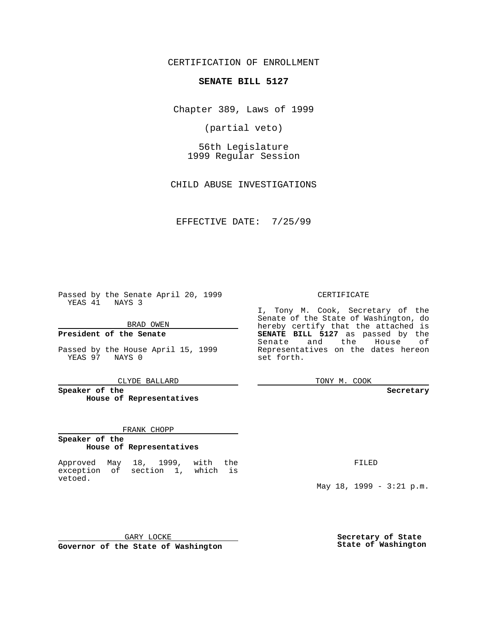CERTIFICATION OF ENROLLMENT

# **SENATE BILL 5127**

Chapter 389, Laws of 1999

(partial veto)

56th Legislature 1999 Regular Session

CHILD ABUSE INVESTIGATIONS

EFFECTIVE DATE: 7/25/99

Passed by the Senate April 20, 1999 YEAS 41 NAYS 3

BRAD OWEN

**President of the Senate**

Passed by the House April 15, 1999 YEAS 97 NAYS 0

CLYDE BALLARD

**Speaker of the House of Representatives**

#### FRANK CHOPP

#### **Speaker of the House of Representatives**

Approved May 18, 1999, with the exception of section 1, which is vetoed.

CERTIFICATE

I, Tony M. Cook, Secretary of the Senate of the State of Washington, do hereby certify that the attached is **SENATE BILL 5127** as passed by the Senate and the House of Representatives on the dates hereon set forth.

TONY M. COOK

#### **Secretary**

FILED

May 18, 1999 - 3:21 p.m.

GARY LOCKE **Governor of the State of Washington** **Secretary of State State of Washington**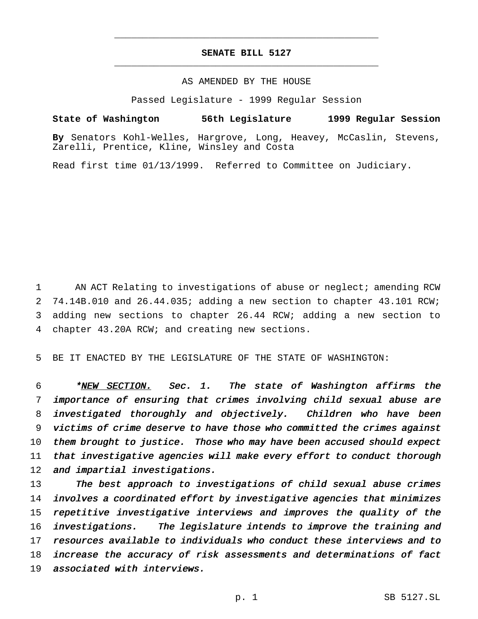## **SENATE BILL 5127** \_\_\_\_\_\_\_\_\_\_\_\_\_\_\_\_\_\_\_\_\_\_\_\_\_\_\_\_\_\_\_\_\_\_\_\_\_\_\_\_\_\_\_\_\_\_\_

\_\_\_\_\_\_\_\_\_\_\_\_\_\_\_\_\_\_\_\_\_\_\_\_\_\_\_\_\_\_\_\_\_\_\_\_\_\_\_\_\_\_\_\_\_\_\_

### AS AMENDED BY THE HOUSE

Passed Legislature - 1999 Regular Session

**State of Washington 56th Legislature 1999 Regular Session**

**By** Senators Kohl-Welles, Hargrove, Long, Heavey, McCaslin, Stevens, Zarelli, Prentice, Kline, Winsley and Costa

Read first time 01/13/1999. Referred to Committee on Judiciary.

 AN ACT Relating to investigations of abuse or neglect; amending RCW 74.14B.010 and 26.44.035; adding a new section to chapter 43.101 RCW; adding new sections to chapter 26.44 RCW; adding a new section to chapter 43.20A RCW; and creating new sections.

5 BE IT ENACTED BY THE LEGISLATURE OF THE STATE OF WASHINGTON:

6 \*NEW SECTION. Sec. 1. The state of Washington affirms the 7 importance of ensuring that crimes involving child sexual abuse are 8 investigated thoroughly and objectively. Children who have been 9 victims of crime deserve to have those who committed the crimes against 10 them brought to justice. Those who may have been accused should expect 11 that investigative agencies will make every effort to conduct thorough 12 and impartial investigations.

13 The best approach to investigations of child sexual abuse crimes involves <sup>a</sup> coordinated effort by investigative agencies that minimizes repetitive investigative interviews and improves the quality of the investigations. The legislature intends to improve the training and resources available to individuals who conduct these interviews and to increase the accuracy of risk assessments and determinations of fact associated with interviews.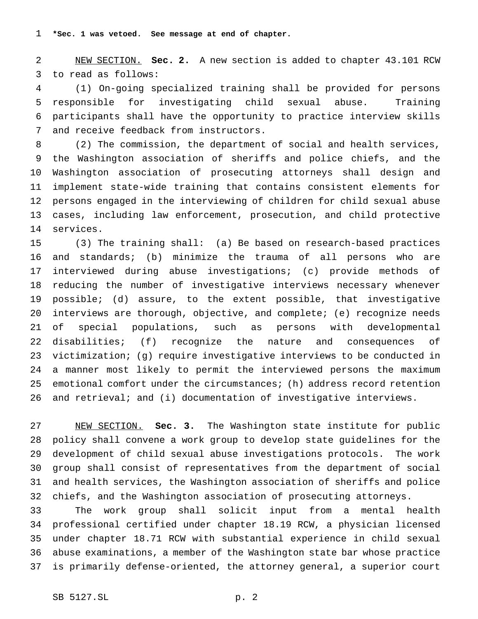**\*Sec. 1 was vetoed. See message at end of chapter.**

 NEW SECTION. **Sec. 2.** A new section is added to chapter 43.101 RCW to read as follows:

 (1) On-going specialized training shall be provided for persons responsible for investigating child sexual abuse. Training participants shall have the opportunity to practice interview skills and receive feedback from instructors.

 (2) The commission, the department of social and health services, the Washington association of sheriffs and police chiefs, and the Washington association of prosecuting attorneys shall design and implement state-wide training that contains consistent elements for persons engaged in the interviewing of children for child sexual abuse cases, including law enforcement, prosecution, and child protective services.

 (3) The training shall: (a) Be based on research-based practices and standards; (b) minimize the trauma of all persons who are interviewed during abuse investigations; (c) provide methods of reducing the number of investigative interviews necessary whenever possible; (d) assure, to the extent possible, that investigative interviews are thorough, objective, and complete; (e) recognize needs of special populations, such as persons with developmental disabilities; (f) recognize the nature and consequences of victimization; (g) require investigative interviews to be conducted in a manner most likely to permit the interviewed persons the maximum emotional comfort under the circumstances; (h) address record retention and retrieval; and (i) documentation of investigative interviews.

 NEW SECTION. **Sec. 3.** The Washington state institute for public policy shall convene a work group to develop state guidelines for the development of child sexual abuse investigations protocols. The work group shall consist of representatives from the department of social and health services, the Washington association of sheriffs and police chiefs, and the Washington association of prosecuting attorneys.

 The work group shall solicit input from a mental health professional certified under chapter 18.19 RCW, a physician licensed under chapter 18.71 RCW with substantial experience in child sexual abuse examinations, a member of the Washington state bar whose practice is primarily defense-oriented, the attorney general, a superior court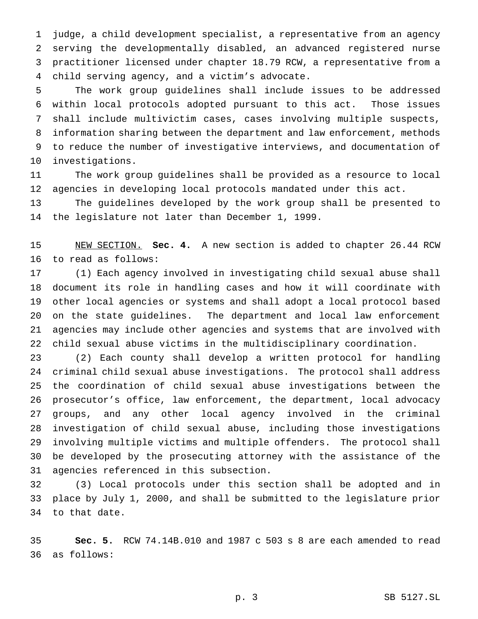judge, a child development specialist, a representative from an agency serving the developmentally disabled, an advanced registered nurse practitioner licensed under chapter 18.79 RCW, a representative from a child serving agency, and a victim's advocate.

 The work group guidelines shall include issues to be addressed within local protocols adopted pursuant to this act. Those issues shall include multivictim cases, cases involving multiple suspects, information sharing between the department and law enforcement, methods to reduce the number of investigative interviews, and documentation of investigations.

 The work group guidelines shall be provided as a resource to local agencies in developing local protocols mandated under this act.

 The guidelines developed by the work group shall be presented to the legislature not later than December 1, 1999.

 NEW SECTION. **Sec. 4.** A new section is added to chapter 26.44 RCW to read as follows:

 (1) Each agency involved in investigating child sexual abuse shall document its role in handling cases and how it will coordinate with other local agencies or systems and shall adopt a local protocol based on the state guidelines. The department and local law enforcement agencies may include other agencies and systems that are involved with child sexual abuse victims in the multidisciplinary coordination.

 (2) Each county shall develop a written protocol for handling criminal child sexual abuse investigations. The protocol shall address the coordination of child sexual abuse investigations between the prosecutor's office, law enforcement, the department, local advocacy groups, and any other local agency involved in the criminal investigation of child sexual abuse, including those investigations involving multiple victims and multiple offenders. The protocol shall be developed by the prosecuting attorney with the assistance of the agencies referenced in this subsection.

 (3) Local protocols under this section shall be adopted and in place by July 1, 2000, and shall be submitted to the legislature prior to that date.

 **Sec. 5.** RCW 74.14B.010 and 1987 c 503 s 8 are each amended to read as follows: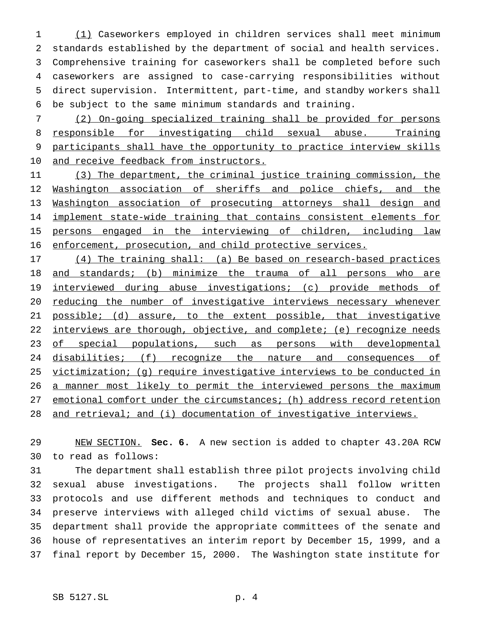(1) Caseworkers employed in children services shall meet minimum standards established by the department of social and health services. Comprehensive training for caseworkers shall be completed before such caseworkers are assigned to case-carrying responsibilities without direct supervision. Intermittent, part-time, and standby workers shall be subject to the same minimum standards and training.

 (2) On-going specialized training shall be provided for persons 8 responsible for investigating child sexual abuse. Training participants shall have the opportunity to practice interview skills 10 and receive feedback from instructors.

11 (3) The department, the criminal justice training commission, the Washington association of sheriffs and police chiefs, and the Washington association of prosecuting attorneys shall design and implement state-wide training that contains consistent elements for persons engaged in the interviewing of children, including law enforcement, prosecution, and child protective services.

17 (4) The training shall: (a) Be based on research-based practices and standards; (b) minimize the trauma of all persons who are interviewed during abuse investigations; (c) provide methods of reducing the number of investigative interviews necessary whenever 21 possible; (d) assure, to the extent possible, that investigative 22 interviews are thorough, objective, and complete; (e) recognize needs 23 of special populations, such as persons with developmental 24 disabilities; (f) recognize the nature and consequences of victimization; (g) require investigative interviews to be conducted in 26 a manner most likely to permit the interviewed persons the maximum 27 emotional comfort under the circumstances; (h) address record retention 28 and retrieval; and (i) documentation of investigative interviews.

 NEW SECTION. **Sec. 6.** A new section is added to chapter 43.20A RCW to read as follows:

 The department shall establish three pilot projects involving child sexual abuse investigations. The projects shall follow written protocols and use different methods and techniques to conduct and preserve interviews with alleged child victims of sexual abuse. The department shall provide the appropriate committees of the senate and house of representatives an interim report by December 15, 1999, and a final report by December 15, 2000. The Washington state institute for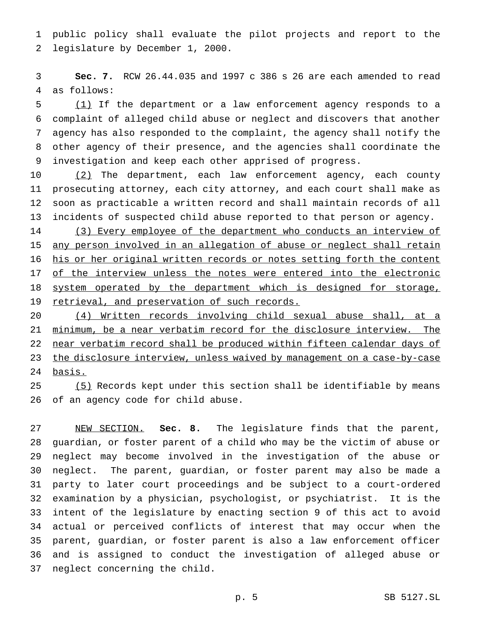public policy shall evaluate the pilot projects and report to the legislature by December 1, 2000.

 **Sec. 7.** RCW 26.44.035 and 1997 c 386 s 26 are each amended to read as follows:

 (1) If the department or a law enforcement agency responds to a complaint of alleged child abuse or neglect and discovers that another agency has also responded to the complaint, the agency shall notify the other agency of their presence, and the agencies shall coordinate the investigation and keep each other apprised of progress.

10 (2) The department, each law enforcement agency, each county prosecuting attorney, each city attorney, and each court shall make as soon as practicable a written record and shall maintain records of all incidents of suspected child abuse reported to that person or agency.

14 (3) Every employee of the department who conducts an interview of any person involved in an allegation of abuse or neglect shall retain 16 his or her original written records or notes setting forth the content 17 of the interview unless the notes were entered into the electronic 18 system operated by the department which is designed for storage, retrieval, and preservation of such records.

 (4) Written records involving child sexual abuse shall, at a minimum, be a near verbatim record for the disclosure interview. The 22 near verbatim record shall be produced within fifteen calendar days of the disclosure interview, unless waived by management on a case-by-case basis.

25 (5) Records kept under this section shall be identifiable by means of an agency code for child abuse.

 NEW SECTION. **Sec. 8.** The legislature finds that the parent, guardian, or foster parent of a child who may be the victim of abuse or neglect may become involved in the investigation of the abuse or neglect. The parent, guardian, or foster parent may also be made a party to later court proceedings and be subject to a court-ordered examination by a physician, psychologist, or psychiatrist. It is the intent of the legislature by enacting section 9 of this act to avoid actual or perceived conflicts of interest that may occur when the parent, guardian, or foster parent is also a law enforcement officer and is assigned to conduct the investigation of alleged abuse or neglect concerning the child.